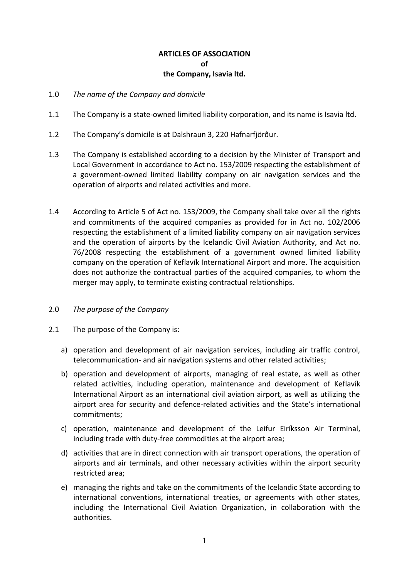# **ARTICLES OF ASSOCIATION of the Company, Isavia ltd.**

- 1.0 *The name of the Company and domicile*
- 1.1 The Company is a state-owned limited liability corporation, and its name is Isavia ltd.
- 1.2 The Company's domicile is at Dalshraun 3, 220 Hafnarfjörður.
- 1.3 The Company is established according to a decision by the Minister of Transport and Local Government in accordance to Act no. 153/2009 respecting the establishment of a government-owned limited liability company on air navigation services and the operation of airports and related activities and more.
- 1.4 According to Article 5 of Act no. 153/2009, the Company shall take over all the rights and commitments of the acquired companies as provided for in Act no. 102/2006 respecting the establishment of a limited liability company on air navigation services and the operation of airports by the Icelandic Civil Aviation Authority, and Act no. 76/2008 respecting the establishment of a government owned limited liability company on the operation of Keflavík International Airport and more. The acquisition does not authorize the contractual parties of the acquired companies, to whom the merger may apply, to terminate existing contractual relationships.

# 2.0 *The purpose of the Company*

- 2.1 The purpose of the Company is:
	- a) operation and development of air navigation services, including air traffic control, telecommunication- and air navigation systems and other related activities;
	- b) operation and development of airports, managing of real estate, as well as other related activities, including operation, maintenance and development of Keflavík International Airport as an international civil aviation airport, as well as utilizing the airport area for security and defence-related activities and the State's international commitments;
	- c) operation, maintenance and development of the Leifur Eiríksson Air Terminal, including trade with duty-free commodities at the airport area;
	- d) activities that are in direct connection with air transport operations, the operation of airports and air terminals, and other necessary activities within the airport security restricted area;
	- e) managing the rights and take on the commitments of the Icelandic State according to international conventions, international treaties, or agreements with other states, including the International Civil Aviation Organization, in collaboration with the authorities.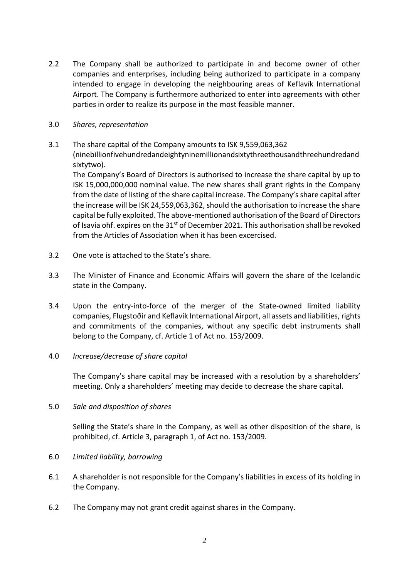2.2 The Company shall be authorized to participate in and become owner of other companies and enterprises, including being authorized to participate in a company intended to engage in developing the neighbouring areas of Keflavík International Airport. The Company is furthermore authorized to enter into agreements with other parties in order to realize its purpose in the most feasible manner.

# 3.0 *Shares, representation*

3.1 The share capital of the Company amounts to ISK 9,559,063,362 (ninebillionfivehundredandeightyninemillionandsixtythreethousandthreehundredand sixtytwo).

The Company's Board of Directors is authorised to increase the share capital by up to ISK 15,000,000,000 nominal value. The new shares shall grant rights in the Company from the date of listing of the share capital increase. The Company's share capital after the increase will be ISK 24,559,063,362, should the authorisation to increase the share capital be fully exploited. The above-mentioned authorisation of the Board of Directors of Isavia ohf. expires on the  $31<sup>st</sup>$  of December 2021. This authorisation shall be revoked from the Articles of Association when it has been excercised.

- 3.2 One vote is attached to the State's share.
- 3.3 The Minister of Finance and Economic Affairs will govern the share of the Icelandic state in the Company.
- 3.4 Upon the entry-into-force of the merger of the State-owned limited liability companies, Flugstoðir and Keflavík International Airport, all assets and liabilities, rights and commitments of the companies, without any specific debt instruments shall belong to the Company, cf. Article 1 of Act no. 153/2009.

# 4.0 *Increase/decrease of share capital*

The Company's share capital may be increased with a resolution by a shareholders' meeting. Only a shareholders' meeting may decide to decrease the share capital.

# 5.0 *Sale and disposition of shares*

Selling the State's share in the Company, as well as other disposition of the share, is prohibited, cf. Article 3, paragraph 1, of Act no. 153/2009.

- 6.0 *Limited liability, borrowing*
- 6.1 A shareholder is not responsible for the Company's liabilities in excess of its holding in the Company.
- 6.2 The Company may not grant credit against shares in the Company.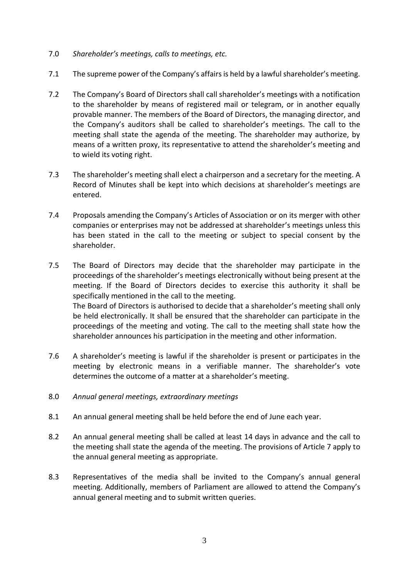- 7.0 *Shareholder's meetings, calls to meetings, etc.*
- 7.1 The supreme power of the Company's affairs is held by a lawful shareholder's meeting.
- 7.2 The Company's Board of Directors shall call shareholder's meetings with a notification to the shareholder by means of registered mail or telegram, or in another equally provable manner. The members of the Board of Directors, the managing director, and the Company's auditors shall be called to shareholder's meetings. The call to the meeting shall state the agenda of the meeting. The shareholder may authorize, by means of a written proxy, its representative to attend the shareholder's meeting and to wield its voting right.
- 7.3 The shareholder's meeting shall elect a chairperson and a secretary for the meeting. A Record of Minutes shall be kept into which decisions at shareholder's meetings are entered.
- 7.4 Proposals amending the Company's Articles of Association or on its merger with other companies or enterprises may not be addressed at shareholder's meetings unless this has been stated in the call to the meeting or subject to special consent by the shareholder.
- 7.5 The Board of Directors may decide that the shareholder may participate in the proceedings of the shareholder's meetings electronically without being present at the meeting. If the Board of Directors decides to exercise this authority it shall be specifically mentioned in the call to the meeting. The Board of Directors is authorised to decide that a shareholder's meeting shall only be held electronically. It shall be ensured that the shareholder can participate in the proceedings of the meeting and voting. The call to the meeting shall state how the shareholder announces his participation in the meeting and other information.
- 7.6 A shareholder's meeting is lawful if the shareholder is present or participates in the meeting by electronic means in a verifiable manner. The shareholder's vote determines the outcome of a matter at a shareholder's meeting.
- 8.0 *Annual general meetings, extraordinary meetings*
- 8.1 An annual general meeting shall be held before the end of June each year.
- 8.2 An annual general meeting shall be called at least 14 days in advance and the call to the meeting shall state the agenda of the meeting. The provisions of Article 7 apply to the annual general meeting as appropriate.
- 8.3 Representatives of the media shall be invited to the Company's annual general meeting. Additionally, members of Parliament are allowed to attend the Company's annual general meeting and to submit written queries.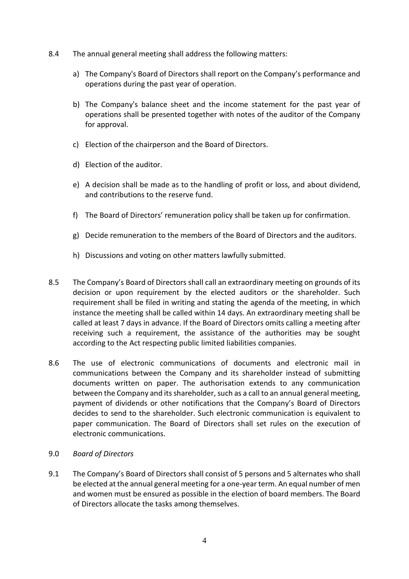- 8.4 The annual general meeting shall address the following matters:
	- a) The Company's Board of Directors shall report on the Company's performance and operations during the past year of operation.
	- b) The Company's balance sheet and the income statement for the past year of operations shall be presented together with notes of the auditor of the Company for approval.
	- c) Election of the chairperson and the Board of Directors.
	- d) Election of the auditor.
	- e) A decision shall be made as to the handling of profit or loss, and about dividend, and contributions to the reserve fund.
	- f) The Board of Directors' remuneration policy shall be taken up for confirmation.
	- g) Decide remuneration to the members of the Board of Directors and the auditors.
	- h) Discussions and voting on other matters lawfully submitted.
- 8.5 The Company's Board of Directors shall call an extraordinary meeting on grounds of its decision or upon requirement by the elected auditors or the shareholder. Such requirement shall be filed in writing and stating the agenda of the meeting, in which instance the meeting shall be called within 14 days. An extraordinary meeting shall be called at least 7 days in advance. If the Board of Directors omits calling a meeting after receiving such a requirement, the assistance of the authorities may be sought according to the Act respecting public limited liabilities companies.
- 8.6 The use of electronic communications of documents and electronic mail in communications between the Company and its shareholder instead of submitting documents written on paper. The authorisation extends to any communication between the Company and its shareholder, such as a call to an annual general meeting, payment of dividends or other notifications that the Company's Board of Directors decides to send to the shareholder. Such electronic communication is equivalent to paper communication. The Board of Directors shall set rules on the execution of electronic communications.
- 9.0 *Board of Directors*
- 9.1 The Company's Board of Directors shall consist of 5 persons and 5 alternates who shall be elected at the annual general meeting for a one-year term. An equal number of men and women must be ensured as possible in the election of board members. The Board of Directors allocate the tasks among themselves.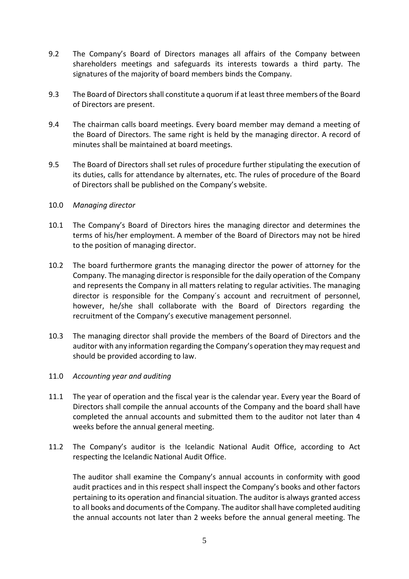- 9.2 The Company's Board of Directors manages all affairs of the Company between shareholders meetings and safeguards its interests towards a third party. The signatures of the majority of board members binds the Company.
- 9.3 The Board of Directors shall constitute a quorum if at least three members of the Board of Directors are present.
- 9.4 The chairman calls board meetings. Every board member may demand a meeting of the Board of Directors. The same right is held by the managing director. A record of minutes shall be maintained at board meetings.
- 9.5 The Board of Directors shall set rules of procedure further stipulating the execution of its duties, calls for attendance by alternates, etc. The rules of procedure of the Board of Directors shall be published on the Company's website.
- 10.0 *Managing director*
- 10.1 The Company's Board of Directors hires the managing director and determines the terms of his/her employment. A member of the Board of Directors may not be hired to the position of managing director.
- 10.2 The board furthermore grants the managing director the power of attorney for the Company. The managing director is responsible for the daily operation of the Company and represents the Company in all matters relating to regular activities. The managing director is responsible for the Company´s account and recruitment of personnel, however, he/she shall collaborate with the Board of Directors regarding the recruitment of the Company's executive management personnel.
- 10.3 The managing director shall provide the members of the Board of Directors and the auditor with any information regarding the Company's operation they may request and should be provided according to law.
- 11.0 *Accounting year and auditing*
- 11.1 The year of operation and the fiscal year is the calendar year. Every year the Board of Directors shall compile the annual accounts of the Company and the board shall have completed the annual accounts and submitted them to the auditor not later than 4 weeks before the annual general meeting.
- 11.2 The Company's auditor is the Icelandic National Audit Office, according to Act respecting the Icelandic National Audit Office.

The auditor shall examine the Company's annual accounts in conformity with good audit practices and in this respect shall inspect the Company's books and other factors pertaining to its operation and financial situation. The auditor is always granted access to all books and documents of the Company. The auditor shall have completed auditing the annual accounts not later than 2 weeks before the annual general meeting. The